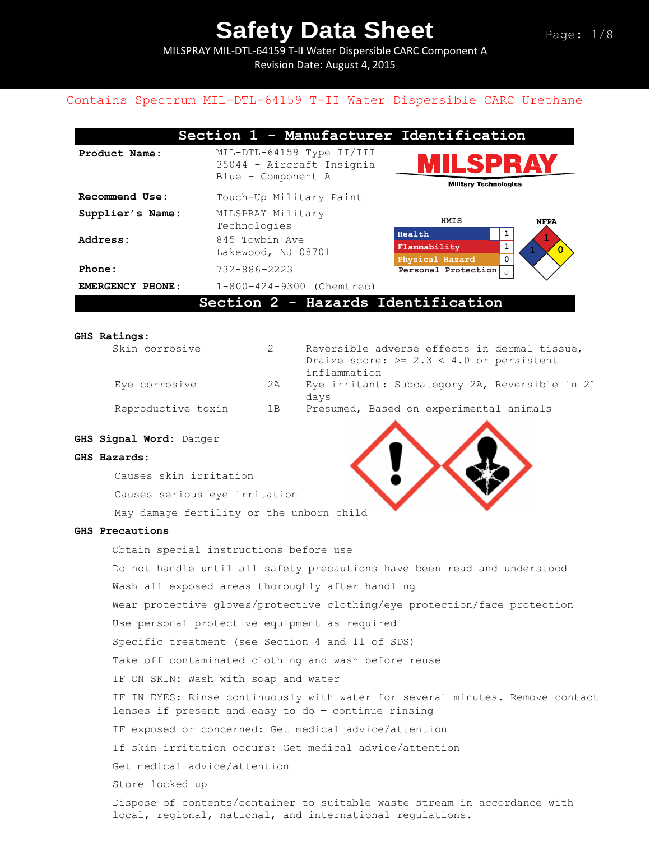MILSPRAY MIL-DTL-64159 T-II Water Dispersible CARC Component A Revision Date: August 4, 2015

### Contains Spectrum MIL-DTL-64159 T-II Water Dispersible CARC Urethane

| Section 1 - Manufacturer Identification |                                                                              |                                                                                                 |  |  |
|-----------------------------------------|------------------------------------------------------------------------------|-------------------------------------------------------------------------------------------------|--|--|
| Product Name:                           | MIL-DTL-64159 Type II/III<br>35044 - Aircraft Insignia<br>Blue - Component A | MILSPRAY<br><b>Military Technologies</b>                                                        |  |  |
| Recommend Use:                          | Touch-Up Military Paint                                                      |                                                                                                 |  |  |
| Supplier's Name:                        | MILSPRAY Military<br>Technologies                                            | HMIS<br><b>NFPA</b>                                                                             |  |  |
| Address:                                | 845 Towbin Ave<br>Lakewood, NJ 08701                                         | Health<br>1<br>$\mathbf{1}$<br>Flammability<br>$\overline{0}$<br>$\mathbf 0$<br>Physical Hazard |  |  |
| Phone:                                  | $732 - 886 - 2223$                                                           | <b>Personal Protection</b> $J$                                                                  |  |  |
| <b>EMERGENCY PHONE:</b>                 | 1-800-424-9300 (Chemtrec)                                                    |                                                                                                 |  |  |
|                                         | Section 2 - Hazards Identification                                           |                                                                                                 |  |  |

#### **GHS Ratings:**

| Skin corrosive     |     | Reversible adverse effects in dermal tissue,   |
|--------------------|-----|------------------------------------------------|
|                    |     | Draize score: $>= 2.3 < 4.0$ or persistent     |
|                    |     | inflammation                                   |
| Eye corrosive      | 2A  | Eye irritant: Subcategory 2A, Reversible in 21 |
|                    |     | days                                           |
| Reproductive toxin | 1 B | Presumed, Based on experimental animals        |
|                    |     |                                                |

#### **GHS Signal Word:** Danger

#### **GHS Hazards:**

Causes skin irritation Causes serious eye irritation May damage fertility or the unborn child

#### **GHS Precautions**

Obtain special instructions before use Do not handle until all safety precautions have been read and understood Wash all exposed areas thoroughly after handling Wear protective gloves/protective clothing/eye protection/face protection Use personal protective equipment as required Specific treatment (see Section 4 and 11 of SDS) Take off contaminated clothing and wash before reuse IF ON SKIN: Wash with soap and water IF IN EYES: Rinse continuously with water for several minutes. Remove contact lenses if present and easy to do – continue rinsing IF exposed or concerned: Get medical advice/attention If skin irritation occurs: Get medical advice/attention Get medical advice/attention Store locked up Dispose of contents/container to suitable waste stream in accordance with local, regional, national, and international regulations.

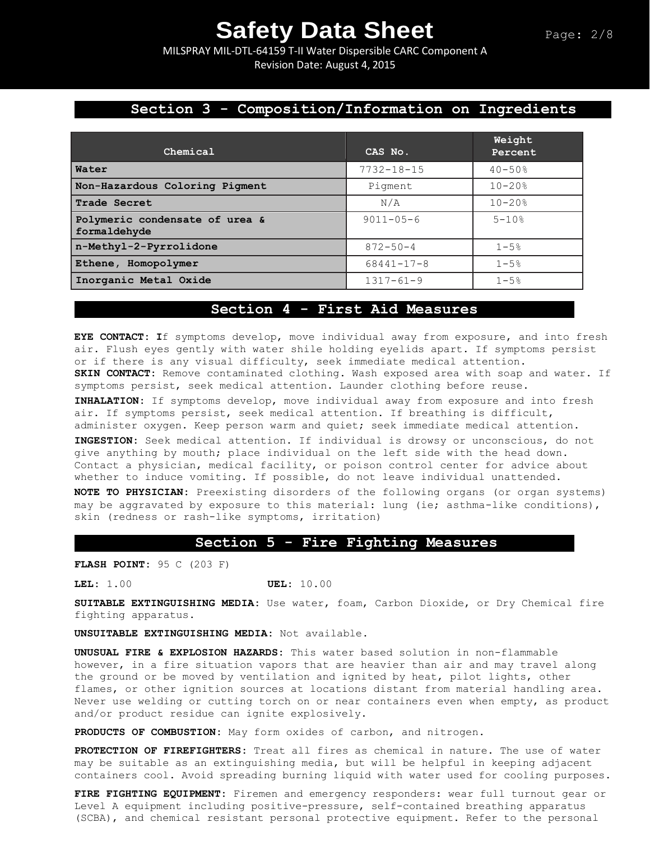MILSPRAY MIL-DTL-64159 T-II Water Dispersible CARC Component A Revision Date: August 4, 2015

## **Section 3 - Composition/Information on Ingredients**

| Chemical                                       | CAS No.          | Weight<br>Percent |
|------------------------------------------------|------------------|-------------------|
| Water                                          | $7732 - 18 - 15$ | $40 - 50%$        |
| Non-Hazardous Coloring Pigment                 | Pigment          | $10 - 20$ %       |
| <b>Trade Secret</b>                            | N/A              | $10 - 20$ %       |
| Polymeric condensate of urea &<br>formaldehyde | $9011 - 05 - 6$  | $5 - 10$ %        |
| n-Methyl-2-Pyrrolidone                         | $872 - 50 - 4$   | $1 - 5%$          |
| Ethene, Homopolymer                            | $68441 - 17 - 8$ | $1 - 5%$          |
| Inorganic Metal Oxide                          | $1317 - 61 - 9$  | $1 - 5%$          |

### **Section 4 - First Aid Measures**

**EYE CONTACT: I**f symptoms develop, move individual away from exposure, and into fresh air. Flush eyes gently with water shile holding eyelids apart. If symptoms persist or if there is any visual difficulty, seek immediate medical attention. **SKIN CONTACT:** Remove contaminated clothing. Wash exposed area with soap and water. If symptoms persist, seek medical attention. Launder clothing before reuse.

**INHALATION:** If symptoms develop, move individual away from exposure and into fresh air. If symptoms persist, seek medical attention. If breathing is difficult, administer oxygen. Keep person warm and quiet; seek immediate medical attention.

**INGESTION:** Seek medical attention. If individual is drowsy or unconscious, do not give anything by mouth; place individual on the left side with the head down. Contact a physician, medical facility, or poison control center for advice about whether to induce vomiting. If possible, do not leave individual unattended.

**NOTE TO PHYSICIAN:** Preexisting disorders of the following organs (or organ systems) may be aggravated by exposure to this material: lung (ie; asthma-like conditions), skin (redness or rash-like symptoms, irritation)

### **Section 5 - Fire Fighting Measures**

**FLASH POINT:** 95 C (203 F)

**LEL:** 1.00 **UEL:** 10.00

**SUITABLE EXTINGUISHING MEDIA:** Use water, foam, Carbon Dioxide, or Dry Chemical fire fighting apparatus.

**UNSUITABLE EXTINGUISHING MEDIA:** Not available.

**UNUSUAL FIRE & EXPLOSION HAZARDS:** This water based solution in non-flammable however, in a fire situation vapors that are heavier than air and may travel along the ground or be moved by ventilation and ignited by heat, pilot lights, other flames, or other ignition sources at locations distant from material handling area. Never use welding or cutting torch on or near containers even when empty, as product and/or product residue can ignite explosively.

**PRODUCTS OF COMBUSTION:** May form oxides of carbon, and nitrogen.

**PROTECTION OF FIREFIGHTERS:** Treat all fires as chemical in nature. The use of water may be suitable as an extinguishing media, but will be helpful in keeping adjacent containers cool. Avoid spreading burning liquid with water used for cooling purposes.

**FIRE FIGHTING EQUIPMENT:** Firemen and emergency responders: wear full turnout gear or Level A equipment including positive-pressure, self-contained breathing apparatus (SCBA), and chemical resistant personal protective equipment. Refer to the personal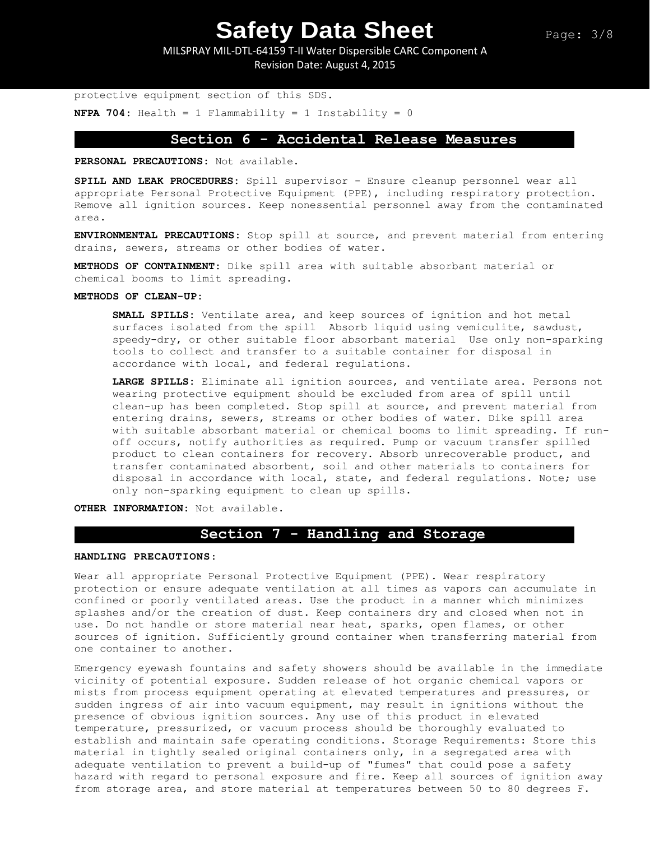MILSPRAY MIL-DTL-64159 T-II Water Dispersible CARC Component A Revision Date: August 4, 2015

```
protective equipment section of this SDS.
NFPA 704: Health = 1 Flammability = 1 Instability = 0
```
## **Section 6 - Accidental Release Measures**

**PERSONAL PRECAUTIONS:** Not available.

**SPILL AND LEAK PROCEDURES:** Spill supervisor - Ensure cleanup personnel wear all appropriate Personal Protective Equipment (PPE), including respiratory protection. Remove all ignition sources. Keep nonessential personnel away from the contaminated area.

**ENVIRONMENTAL PRECAUTIONS:** Stop spill at source, and prevent material from entering drains, sewers, streams or other bodies of water.

**METHODS OF CONTAINMENT:** Dike spill area with suitable absorbant material or chemical booms to limit spreading.

#### **METHODS OF CLEAN-UP:**

**SMALL SPILLS:** Ventilate area, and keep sources of ignition and hot metal surfaces isolated from the spill Absorb liquid using vemiculite, sawdust, speedy-dry, or other suitable floor absorbant material Use only non-sparking tools to collect and transfer to a suitable container for disposal in accordance with local, and federal regulations.

**LARGE SPILLS:** Eliminate all ignition sources, and ventilate area. Persons not wearing protective equipment should be excluded from area of spill until clean-up has been completed. Stop spill at source, and prevent material from entering drains, sewers, streams or other bodies of water. Dike spill area with suitable absorbant material or chemical booms to limit spreading. If runoff occurs, notify authorities as required. Pump or vacuum transfer spilled product to clean containers for recovery. Absorb unrecoverable product, and transfer contaminated absorbent, soil and other materials to containers for disposal in accordance with local, state, and federal regulations. Note; use only non-sparking equipment to clean up spills.

**OTHER INFORMATION:** Not available.

## **Section 7 - Handling and Storage**

#### **HANDLING PRECAUTIONS**:

Wear all appropriate Personal Protective Equipment (PPE). Wear respiratory protection or ensure adequate ventilation at all times as vapors can accumulate in confined or poorly ventilated areas. Use the product in a manner which minimizes splashes and/or the creation of dust. Keep containers dry and closed when not in use. Do not handle or store material near heat, sparks, open flames, or other sources of ignition. Sufficiently ground container when transferring material from one container to another.

Emergency eyewash fountains and safety showers should be available in the immediate vicinity of potential exposure. Sudden release of hot organic chemical vapors or mists from process equipment operating at elevated temperatures and pressures, or sudden ingress of air into vacuum equipment, may result in ignitions without the presence of obvious ignition sources. Any use of this product in elevated temperature, pressurized, or vacuum process should be thoroughly evaluated to establish and maintain safe operating conditions. Storage Requirements: Store this material in tightly sealed original containers only, in a segregated area with adequate ventilation to prevent a build-up of "fumes" that could pose a safety hazard with regard to personal exposure and fire. Keep all sources of ignition away from storage area, and store material at temperatures between 50 to 80 degrees F.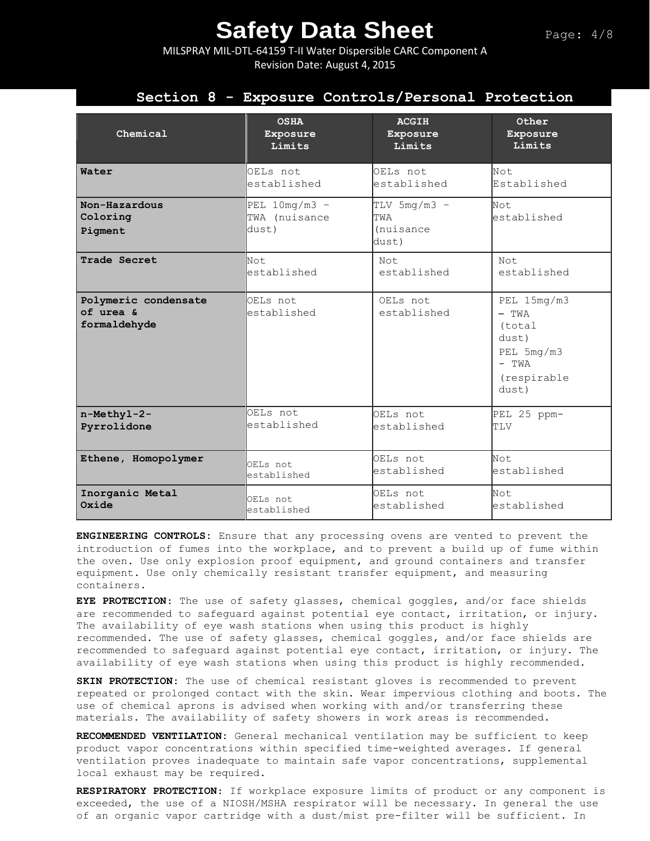MILSPRAY MIL-DTL-64159 T-II Water Dispersible CARC Component A Revision Date: August 4, 2015

## **Section 8 - Exposure Controls/Personal Protection**

| Chemical                                          | <b>OSHA</b>                               | <b>ACGIH</b>                                 | Other                                                                                      |
|---------------------------------------------------|-------------------------------------------|----------------------------------------------|--------------------------------------------------------------------------------------------|
|                                                   | Exposure                                  | Exposure                                     | Exposure                                                                                   |
|                                                   | Limits                                    | Limits                                       | Limits                                                                                     |
| Water                                             | OELs not                                  | OELs not                                     | Not.                                                                                       |
|                                                   | established                               | established                                  | Established                                                                                |
| Non-Hazardous<br>Coloring<br>Pigment              | PEL $10mg/m3 -$<br>TWA (nuisance<br>dust) | TLV $5mg/m3 -$<br>TWA<br>(nuisance)<br>dust) | Not.<br>established                                                                        |
| Trade Secret                                      | Not.                                      | Not.                                         | Not.                                                                                       |
|                                                   | established                               | established                                  | established                                                                                |
| Polymeric condensate<br>of urea &<br>formaldehyde | OELs not<br>established                   | OELs not<br>established                      | PEL 15mg/m3<br>$-$ TWA<br>(total<br>dust)<br>PEL 5mg/m3<br>$-$ TWA<br>(respirable<br>dust) |
| n-Methyl-2-                                       | OELS not                                  | OELs not                                     | PEL 25 ppm-                                                                                |
| Pyrrolidone                                       | established                               | established                                  | TLV                                                                                        |
| Ethene, Homopolymer                               | OELs not                                  | OELs not                                     | Not.                                                                                       |
|                                                   | established                               | established                                  | established                                                                                |
| Inorganic Metal                                   | OELs not                                  | OELs not                                     | Not.                                                                                       |
| Oxide                                             | established                               | established                                  | established                                                                                |

**ENGINEERING CONTROLS:** Ensure that any processing ovens are vented to prevent the introduction of fumes into the workplace, and to prevent a build up of fume within the oven. Use only explosion proof equipment, and ground containers and transfer equipment. Use only chemically resistant transfer equipment, and measuring containers.

**EYE PROTECTION**: The use of safety glasses, chemical goggles, and/or face shields are recommended to safeguard against potential eye contact, irritation, or injury. The availability of eye wash stations when using this product is highly recommended. The use of safety glasses, chemical goggles, and/or face shields are recommended to safeguard against potential eye contact, irritation, or injury. The availability of eye wash stations when using this product is highly recommended.

**SKIN PROTECTION:** The use of chemical resistant gloves is recommended to prevent repeated or prolonged contact with the skin. Wear impervious clothing and boots. The use of chemical aprons is advised when working with and/or transferring these materials. The availability of safety showers in work areas is recommended.

**RECOMMENDED VENTILATION:** General mechanical ventilation may be sufficient to keep product vapor concentrations within specified time-weighted averages. If general ventilation proves inadequate to maintain safe vapor concentrations, supplemental local exhaust may be required.

**RESPIRATORY PROTECTION**: If workplace exposure limits of product or any component is exceeded, the use of a NIOSH/MSHA respirator will be necessary. In general the use of an organic vapor cartridge with a dust/mist pre-filter will be sufficient. In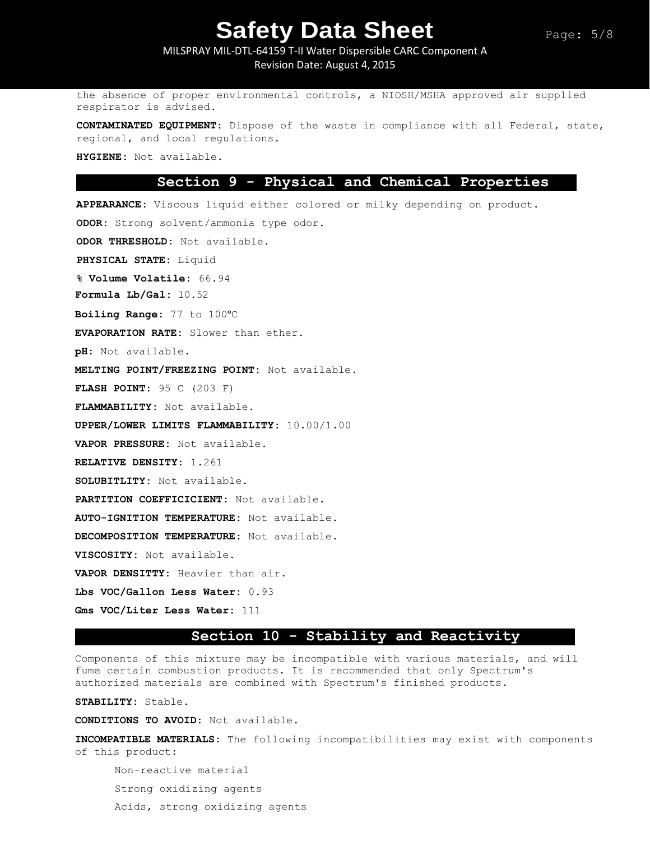MILSPRAY MIL-DTL-64159 T-II Water Dispersible CARC Component A Revision Date: August 4, 2015

the absence of proper environmental controls, a NIOSH/MSHA approved air supplied respirator is advised.

**CONTAMINATED EQUIPMENT:** Dispose of the waste in compliance with all Federal, state, regional, and local regulations.

**HYGIENE:** Not available.

### **Section 9 - Physical and Chemical Properties**

**APPEARANCE:** Viscous liquid either colored or milky depending on product. **ODOR:** Strong solvent/ammonia type odor. **ODOR THRESHOLD:** Not available. **PHYSICAL STATE:** Liquid **% Volume Volatile:** 66.94 **Formula Lb/Gal:** 10.52 **Boiling Range:** 77 to 100ᵒC **EVAPORATION RATE:** Slower than ether. **pH:** Not available. **MELTING POINT/FREEZING POINT:** Not available. **FLASH POINT:** 95 C (203 F) **FLAMMABILITY:** Not available. **UPPER/LOWER LIMITS FLAMMABILITY:** 10.00/1.00 **VAPOR PRESSURE:** Not available. **RELATIVE DENSITY:** 1.261 **SOLUBITLITY:** Not available. **PARTITION COEFFICICIENT:** Not available. **AUTO-IGNITION TEMPERATURE:** Not available. **DECOMPOSITION TEMPERATURE:** Not available. **VISCOSITY:** Not available. **VAPOR DENSITTY:** Heavier than air. **Lbs VOC/Gallon Less Water:** 0.93 **Gms VOC/Liter Less Water:** 111

## **Section 10 - Stability and Reactivity**

Components of this mixture may be incompatible with various materials, and will fume certain combustion products. It is recommended that only Spectrum's authorized materials are combined with Spectrum's finished products.

**STABILITY:** Stable.

**CONDITIONS TO AVOID:** Not available.

**INCOMPATIBLE MATERIALS:** The following incompatibilities may exist with components of this product:

Non-reactive material Strong oxidizing agents Acids, strong oxidizing agents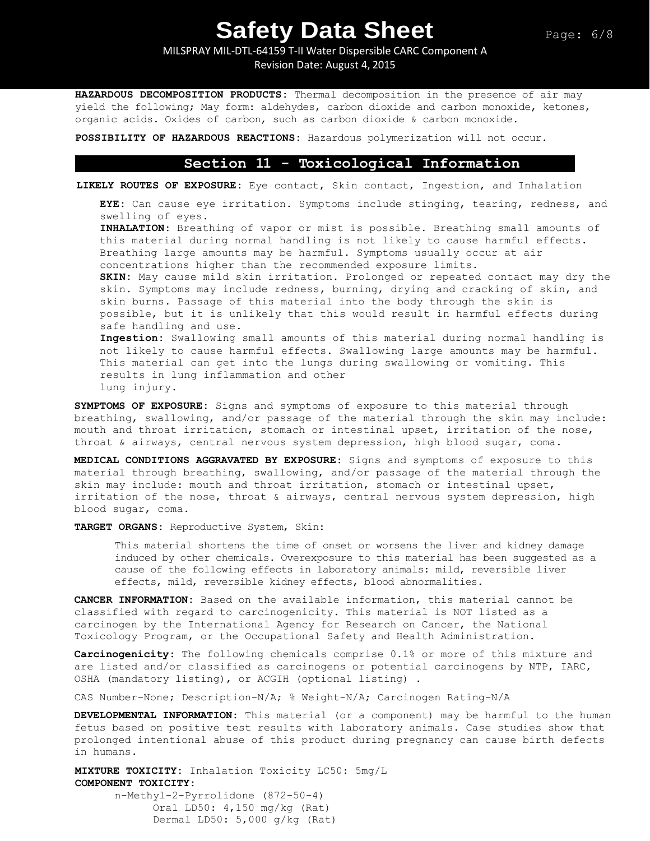MILSPRAY MIL-DTL-64159 T-II Water Dispersible CARC Component A

Revision Date: August 4, 2015

**HAZARDOUS DECOMPOSITION PRODUCTS:** Thermal decomposition in the presence of air may yield the following; May form: aldehydes, carbon dioxide and carbon monoxide, ketones, organic acids. Oxides of carbon, such as carbon dioxide & carbon monoxide.

**POSSIBILITY OF HAZARDOUS REACTIONS:** Hazardous polymerization will not occur.

### **Section 11 - Toxicological Information**

**LIKELY ROUTES OF EXPOSURE:** Eye contact, Skin contact, Ingestion, and Inhalation

**EYE:** Can cause eye irritation. Symptoms include stinging, tearing, redness, and swelling of eyes.

**INHALATION:** Breathing of vapor or mist is possible. Breathing small amounts of this material during normal handling is not likely to cause harmful effects. Breathing large amounts may be harmful. Symptoms usually occur at air concentrations higher than the recommended exposure limits.

**SKIN:** May cause mild skin irritation. Prolonged or repeated contact may dry the skin. Symptoms may include redness, burning, drying and cracking of skin, and skin burns. Passage of this material into the body through the skin is possible, but it is unlikely that this would result in harmful effects during safe handling and use.

**Ingestion:** Swallowing small amounts of this material during normal handling is not likely to cause harmful effects. Swallowing large amounts may be harmful. This material can get into the lungs during swallowing or vomiting. This results in lung inflammation and other lung injury.

**SYMPTOMS OF EXPOSURE:** Signs and symptoms of exposure to this material through breathing, swallowing, and/or passage of the material through the skin may include: mouth and throat irritation, stomach or intestinal upset, irritation of the nose, throat & airways, central nervous system depression, high blood sugar, coma.

**MEDICAL CONDITIONS AGGRAVATED BY EXPOSURE:** Signs and symptoms of exposure to this material through breathing, swallowing, and/or passage of the material through the skin may include: mouth and throat irritation, stomach or intestinal upset, irritation of the nose, throat & airways, central nervous system depression, high blood sugar, coma.

**TARGET ORGANS:** Reproductive System, Skin:

This material shortens the time of onset or worsens the liver and kidney damage induced by other chemicals. Overexposure to this material has been suggested as a cause of the following effects in laboratory animals: mild, reversible liver effects, mild, reversible kidney effects, blood abnormalities.

**CANCER INFORMATION:** Based on the available information, this material cannot be classified with regard to carcinogenicity. This material is NOT listed as a carcinogen by the International Agency for Research on Cancer, the National Toxicology Program, or the Occupational Safety and Health Administration.

**Carcinogenicity:** The following chemicals comprise 0.1% or more of this mixture and are listed and/or classified as carcinogens or potential carcinogens by NTP, IARC, OSHA (mandatory listing), or ACGIH (optional listing) .

CAS Number-None; Description-N/A; % Weight-N/A; Carcinogen Rating-N/A

**DEVELOPMENTAL INFORMATION:** This material (or a component) may be harmful to the human fetus based on positive test results with laboratory animals. Case studies show that prolonged intentional abuse of this product during pregnancy can cause birth defects in humans.

**MIXTURE TOXICITY:** Inhalation Toxicity LC50: 5mg/L **COMPONENT TOXICITY:** n-Methyl-2-Pyrrolidone (872-50-4) Oral LD50: 4,150 mg/kg (Rat)

Dermal LD50: 5,000 g/kg (Rat)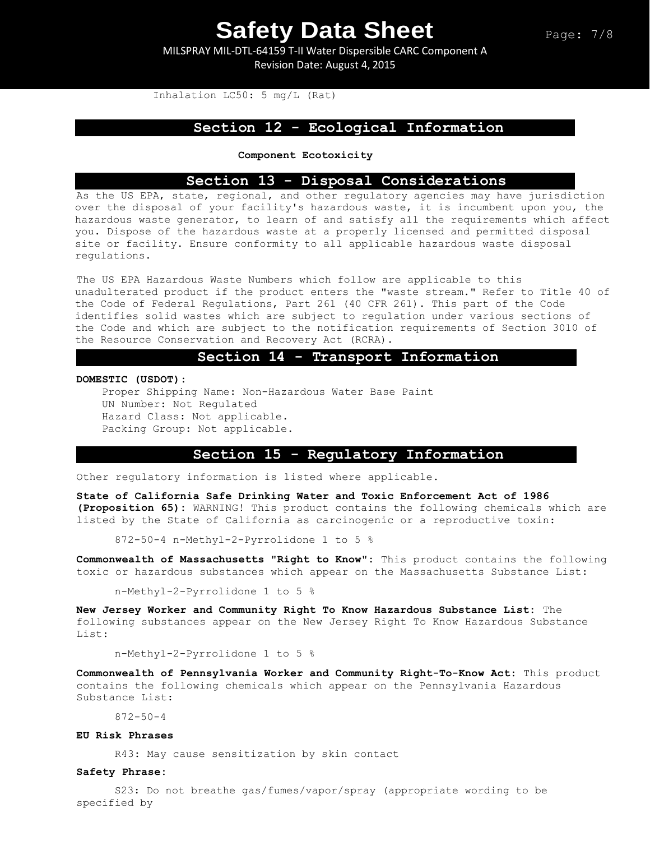MILSPRAY MIL-DTL-64159 T-II Water Dispersible CARC Component A Revision Date: August 4, 2015

Inhalation LC50: 5 mg/L (Rat)

### **Section 12 - Ecological Information**

**Component Ecotoxicity**

### **Section 13 - Disposal Considerations**

As the US EPA, state, regional, and other regulatory agencies may have jurisdiction over the disposal of your facility's hazardous waste, it is incumbent upon you, the hazardous waste generator, to learn of and satisfy all the requirements which affect you. Dispose of the hazardous waste at a properly licensed and permitted disposal site or facility. Ensure conformity to all applicable hazardous waste disposal regulations.

The US EPA Hazardous Waste Numbers which follow are applicable to this unadulterated product if the product enters the "waste stream." Refer to Title 40 of the Code of Federal Regulations, Part 261 (40 CFR 261). This part of the Code identifies solid wastes which are subject to regulation under various sections of the Code and which are subject to the notification requirements of Section 3010 of the Resource Conservation and Recovery Act (RCRA).

### **Section 14 - Transport Information**

#### **DOMESTIC (USDOT):**

Proper Shipping Name: Non-Hazardous Water Base Paint UN Number: Not Regulated Hazard Class: Not applicable. Packing Group: Not applicable.

## **Section 15 - Regulatory Information**

Other regulatory information is listed where applicable.

**State of California Safe Drinking Water and Toxic Enforcement Act of 1986 (Proposition 65):** WARNING! This product contains the following chemicals which are listed by the State of California as carcinogenic or a reproductive toxin:

872-50-4 n-Methyl-2-Pyrrolidone 1 to 5 %

**Commonwealth of Massachusetts "Right to Know":** This product contains the following toxic or hazardous substances which appear on the Massachusetts Substance List:

n-Methyl-2-Pyrrolidone 1 to 5 %

**New Jersey Worker and Community Right To Know Hazardous Substance List:** The following substances appear on the New Jersey Right To Know Hazardous Substance List:

n-Methyl-2-Pyrrolidone 1 to 5 %

**Commonwealth of Pennsylvania Worker and Community Right-To-Know Act:** This product contains the following chemicals which appear on the Pennsylvania Hazardous Substance List:

872-50-4

#### **EU Risk Phrases**

R43: May cause sensitization by skin contact

#### **Safety Phrase:**

S23: Do not breathe gas/fumes/vapor/spray (appropriate wording to be specified by